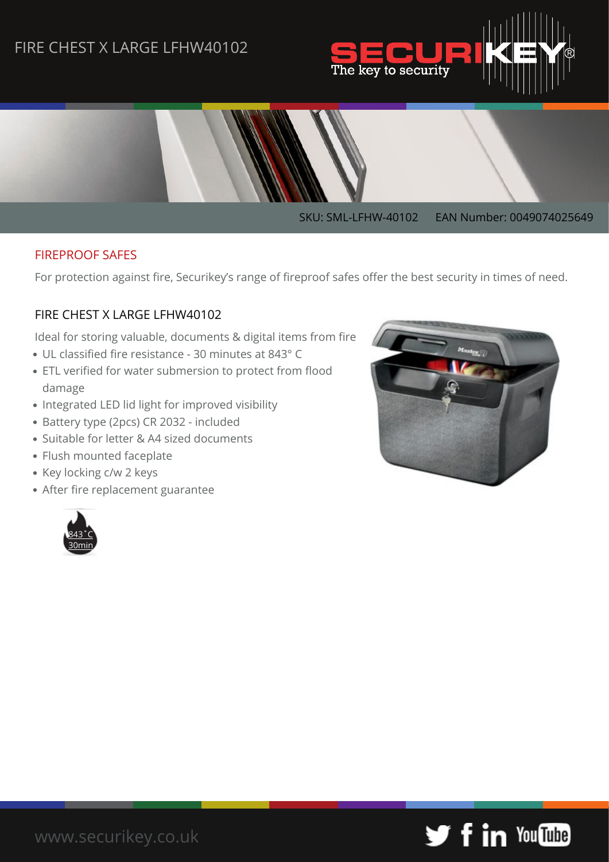## FIRE CHEST X LARGE LFHW40102





#### FIREPROOF SAFES

For protection against fire, Securikey's range of fireproof safes offer the best security in times of need.

#### FIRE CHEST X LARGE LFHW40102

Ideal for storing valuable, documents & digital items from fire

- UL classified fire resistance 30 minutes at 843° C
- ETL verified for water submersion to protect from flood damage
- Integrated LED lid light for improved visibility
- Battery type (2pcs) CR 2032 included
- Suitable for letter & A4 sized documents
- Flush mounted faceplate
- Key locking c/w 2 keys
- After fire replacement guarantee





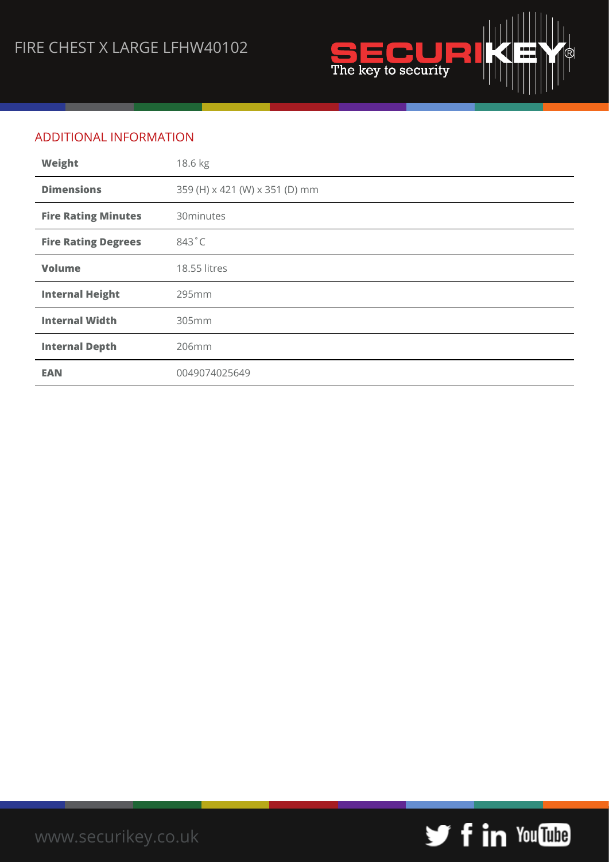

## ADDITIONAL INFORMATION

| Weight                     | 18.6 kg                        |
|----------------------------|--------------------------------|
| <b>Dimensions</b>          | 359 (H) x 421 (W) x 351 (D) mm |
| <b>Fire Rating Minutes</b> | 30minutes                      |
| <b>Fire Rating Degrees</b> | 843°C                          |
| <b>Volume</b>              | 18.55 litres                   |
| <b>Internal Height</b>     | 295mm                          |
| <b>Internal Width</b>      | 305mm                          |
| <b>Internal Depth</b>      | 206mm                          |
| <b>EAN</b>                 | 0049074025649                  |

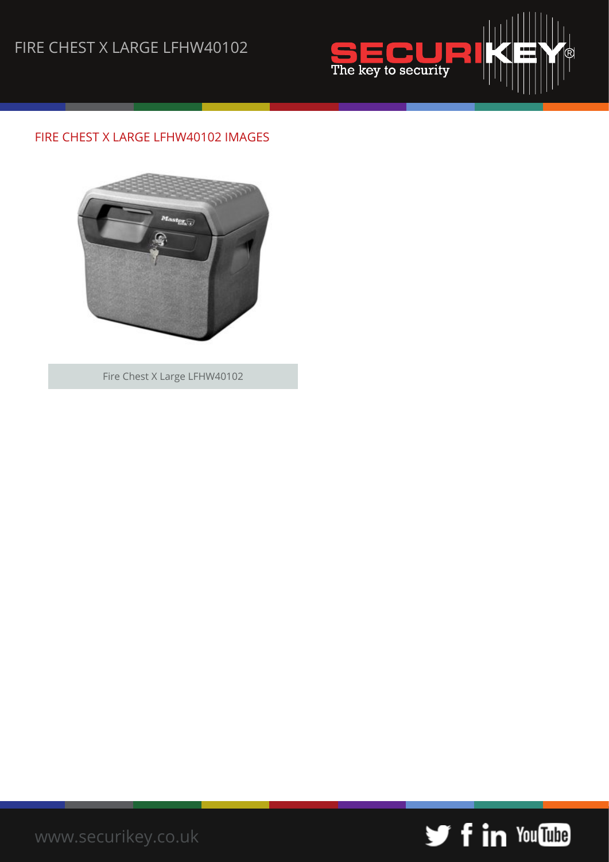# FIRE CHEST X LARGE LFHW40102



### FIRE CHEST X LARGE LFHW40102 IMAGES



Fire Chest X Large LFHW40102



[www.securikey.co.uk](http://www.securikey.co.uk/)